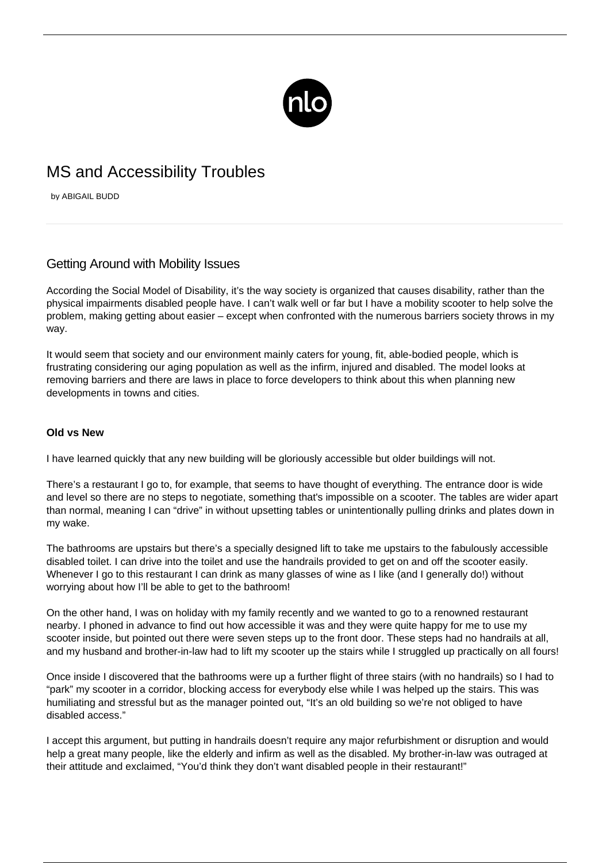

# MS and Accessibility Troubles

by ABIGAIL BUDD

## Getting Around with Mobility Issues

According the Social Model of Disability, it's the way society is organized that causes disability, rather than the physical impairments disabled people have. I can't walk well or far but I have a mobility scooter to help solve the problem, making getting about easier – except when confronted with the numerous barriers society throws in my way.

It would seem that society and our environment mainly caters for young, fit, able-bodied people, which is frustrating considering our aging population as well as the infirm, injured and disabled. The model looks at removing barriers and there are laws in place to force developers to think about this when planning new developments in towns and cities.

#### **Old vs New**

I have learned quickly that any new building will be gloriously accessible but older buildings will not.

There's a restaurant I go to, for example, that seems to have thought of everything. The entrance door is wide and level so there are no steps to negotiate, something that's impossible on a scooter. The tables are wider apart than normal, meaning I can "drive" in without upsetting tables or unintentionally pulling drinks and plates down in my wake.

The bathrooms are upstairs but there's a specially designed lift to take me upstairs to the fabulously accessible disabled toilet. I can drive into the toilet and use the handrails provided to get on and off the scooter easily. Whenever I go to this restaurant I can drink as many glasses of wine as I like (and I generally do!) without worrying about how I'll be able to get to the bathroom!

On the other hand, I was on holiday with my family recently and we wanted to go to a renowned restaurant nearby. I phoned in advance to find out how accessible it was and they were quite happy for me to use my scooter inside, but pointed out there were seven steps up to the front door. These steps had no handrails at all, and my husband and brother-in-law had to lift my scooter up the stairs while I struggled up practically on all fours!

Once inside I discovered that the bathrooms were up a further flight of three stairs (with no handrails) so I had to "park" my scooter in a corridor, blocking access for everybody else while I was helped up the stairs. This was humiliating and stressful but as the manager pointed out, "It's an old building so we're not obliged to have disabled access."

I accept this argument, but putting in handrails doesn't require any major refurbishment or disruption and would help a great many people, like the elderly and infirm as well as the disabled. My brother-in-law was outraged at their attitude and exclaimed, "You'd think they don't want disabled people in their restaurant!"